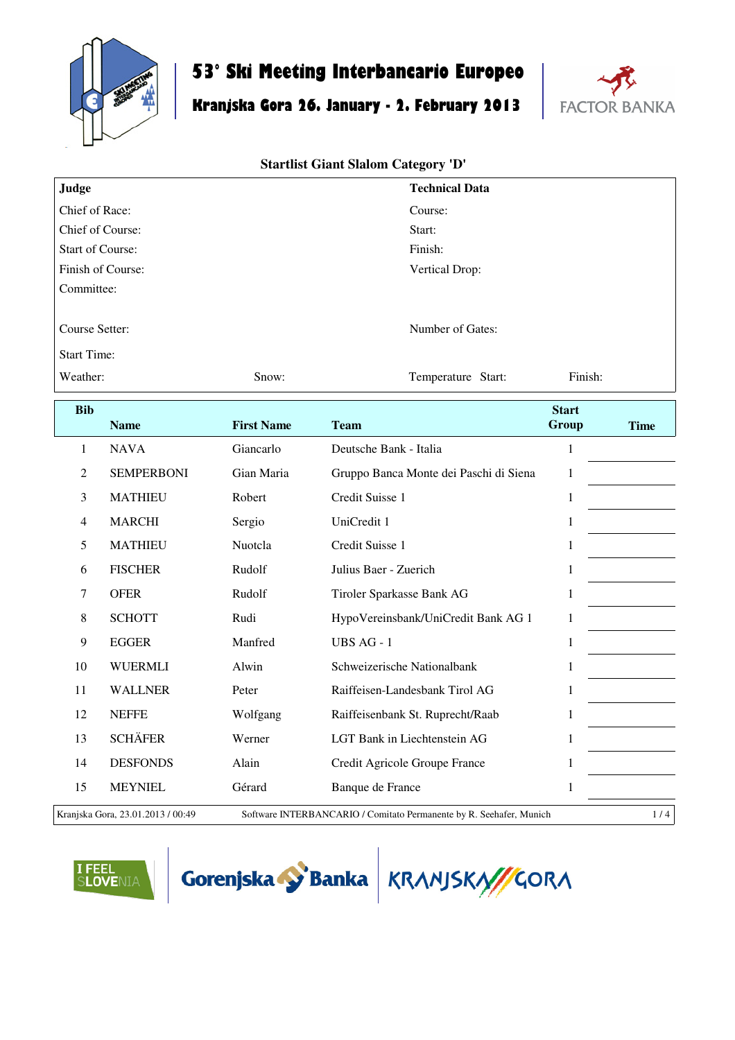

## **53° Ski Meeting Interbancario Europeo**

# **Kranjska Gora 26. January - 2. February 2013**



#### **Startlist Giant Slalom Category 'D'**

| Judge                   |                   |                   | <b>Technical Data</b>                  |              |             |  |
|-------------------------|-------------------|-------------------|----------------------------------------|--------------|-------------|--|
| Chief of Race:          |                   |                   | Course:                                |              |             |  |
| Chief of Course:        |                   |                   | Start:                                 |              |             |  |
| <b>Start of Course:</b> |                   |                   | Finish:                                |              |             |  |
| Finish of Course:       |                   |                   | Vertical Drop:                         |              |             |  |
| Committee:              |                   |                   |                                        |              |             |  |
| Course Setter:          |                   |                   | Number of Gates:                       |              |             |  |
| <b>Start Time:</b>      |                   |                   |                                        |              |             |  |
| Weather:                |                   | Snow:             | Temperature Start:                     | Finish:      |             |  |
|                         |                   |                   |                                        |              |             |  |
| <b>Bib</b>              |                   |                   |                                        | <b>Start</b> |             |  |
|                         | <b>Name</b>       | <b>First Name</b> | <b>Team</b>                            | Group        | <b>Time</b> |  |
| 1                       | <b>NAVA</b>       | Giancarlo         | Deutsche Bank - Italia                 | $\mathbf{1}$ |             |  |
| 2                       | <b>SEMPERBONI</b> | Gian Maria        | Gruppo Banca Monte dei Paschi di Siena | $\mathbf{1}$ |             |  |
| 3                       | <b>MATHIEU</b>    | Robert            | Credit Suisse 1                        | $\mathbf{1}$ |             |  |
| $\overline{4}$          | <b>MARCHI</b>     | Sergio            | UniCredit 1                            | 1            |             |  |
| 5                       | <b>MATHIEU</b>    | Nuotcla           | Credit Suisse 1                        | 1            |             |  |
| 6                       | <b>FISCHER</b>    | Rudolf            | Julius Baer - Zuerich                  | 1            |             |  |
| 7                       | <b>OFER</b>       | Rudolf            | Tiroler Sparkasse Bank AG              | 1            |             |  |

9 EGGER Manfred UBS AG - 1 1 1 1 WUERMLI Alwin Schweizerische Nationalbank 1 WALLNER Peter Raiffeisen-Landesbank Tirol AG 1 NEFFE Wolfgang Raiffeisenbank St. Ruprecht/Raab 1 SCHÄFER Werner LGT Bank in Liechtenstein AG 1

14 DESFONDS Alain Credit Agricole Groupe France 1 15 MEYNIEL Gérard Banque de France 1

Kranjska Gora, 23.01.2013 / 00:49 Software INTERBANCARIO / Comitato Permanente by R. Seehafer, Munich 1 / 4





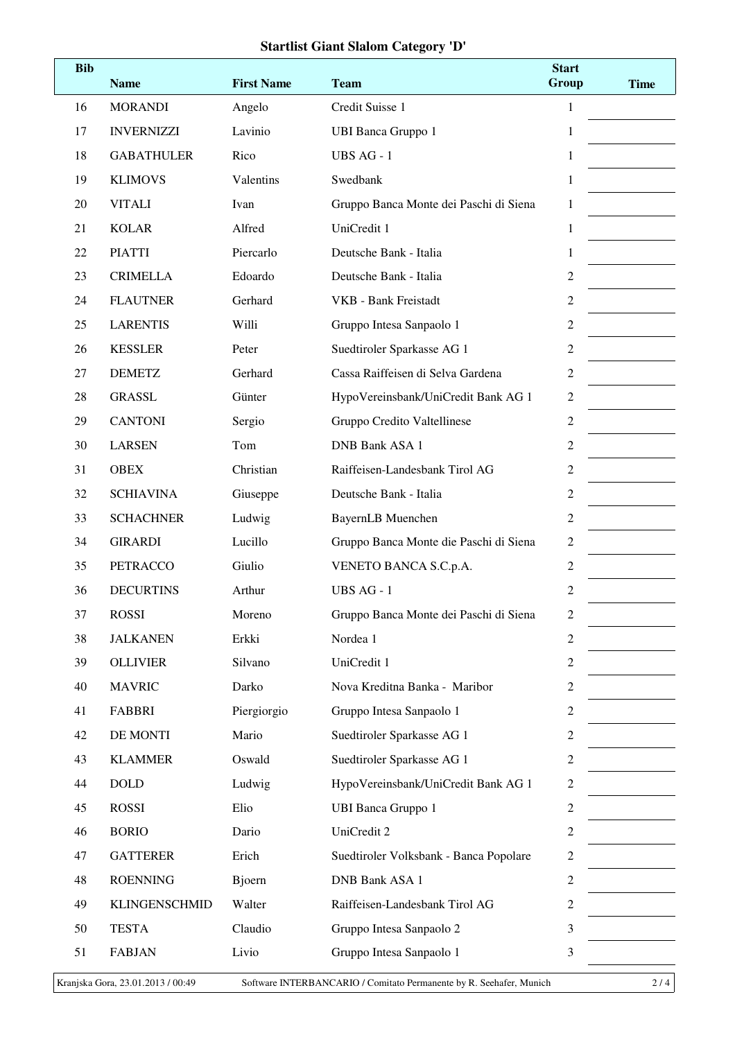#### **Startlist Giant Slalom Category 'D'**

| <b>Bib</b> | <b>Name</b>          | <b>First Name</b> | <b>Team</b>                            | <b>Start</b><br>Group | <b>Time</b> |
|------------|----------------------|-------------------|----------------------------------------|-----------------------|-------------|
| 16         | <b>MORANDI</b>       | Angelo            | Credit Suisse 1                        | $\mathbf{1}$          |             |
| 17         | <b>INVERNIZZI</b>    | Lavinio           | <b>UBI Banca Gruppo 1</b>              | 1                     |             |
| 18         | <b>GABATHULER</b>    | Rico              | UBS AG - 1                             | 1                     |             |
| 19         | <b>KLIMOVS</b>       | Valentins         | Swedbank                               | 1                     |             |
| 20         | <b>VITALI</b>        | Ivan              | Gruppo Banca Monte dei Paschi di Siena | 1                     |             |
| 21         | <b>KOLAR</b>         | Alfred            | UniCredit 1                            | 1                     |             |
| 22         | <b>PIATTI</b>        | Piercarlo         | Deutsche Bank - Italia                 | 1                     |             |
| 23         | <b>CRIMELLA</b>      | Edoardo           | Deutsche Bank - Italia                 | 2                     |             |
| 24         | <b>FLAUTNER</b>      | Gerhard           | <b>VKB</b> - Bank Freistadt            | 2                     |             |
| 25         | <b>LARENTIS</b>      | Willi             | Gruppo Intesa Sanpaolo 1               | $\overline{c}$        |             |
| 26         | <b>KESSLER</b>       | Peter             | Suedtiroler Sparkasse AG 1             | 2                     |             |
| 27         | <b>DEMETZ</b>        | Gerhard           | Cassa Raiffeisen di Selva Gardena      | $\overline{c}$        |             |
| 28         | <b>GRASSL</b>        | Günter            | HypoVereinsbank/UniCredit Bank AG 1    | $\overline{c}$        |             |
| 29         | <b>CANTONI</b>       | Sergio            | Gruppo Credito Valtellinese            | $\overline{c}$        |             |
| 30         | <b>LARSEN</b>        | Tom               | <b>DNB Bank ASA 1</b>                  | $\overline{c}$        |             |
| 31         | <b>OBEX</b>          | Christian         | Raiffeisen-Landesbank Tirol AG         | 2                     |             |
| 32         | <b>SCHIAVINA</b>     | Giuseppe          | Deutsche Bank - Italia                 | $\overline{c}$        |             |
| 33         | <b>SCHACHNER</b>     | Ludwig            | <b>BayernLB</b> Muenchen               | 2                     |             |
| 34         | <b>GIRARDI</b>       | Lucillo           | Gruppo Banca Monte die Paschi di Siena | $\overline{c}$        |             |
| 35         | <b>PETRACCO</b>      | Giulio            | VENETO BANCA S.C.p.A.                  | 2                     |             |
| 36         | <b>DECURTINS</b>     | Arthur            | UBS AG - 1                             | 2                     |             |
| 37         | <b>ROSSI</b>         | Moreno            | Gruppo Banca Monte dei Paschi di Siena | 2                     |             |
| 38         | <b>JALKANEN</b>      | Erkki             | Nordea 1                               | 2                     |             |
| 39         | <b>OLLIVIER</b>      | Silvano           | UniCredit 1                            | 2                     |             |
| 40         | <b>MAVRIC</b>        | Darko             | Nova Kreditna Banka - Maribor          | 2                     |             |
| 41         | <b>FABBRI</b>        | Piergiorgio       | Gruppo Intesa Sanpaolo 1               | $\overline{c}$        |             |
| 42         | DE MONTI             | Mario             | Suedtiroler Sparkasse AG 1             | 2                     |             |
| 43         | <b>KLAMMER</b>       | Oswald            | Suedtiroler Sparkasse AG 1             | 2                     |             |
| 44         | <b>DOLD</b>          | Ludwig            | HypoVereinsbank/UniCredit Bank AG 1    | $\overline{c}$        |             |
| 45         | <b>ROSSI</b>         | Elio              | <b>UBI Banca Gruppo 1</b>              | 2                     |             |
| 46         | <b>BORIO</b>         | Dario             | UniCredit 2                            | $\overline{c}$        |             |
| 47         | <b>GATTERER</b>      | Erich             | Suedtiroler Volksbank - Banca Popolare | 2                     |             |
| 48         | <b>ROENNING</b>      | Bjoern            | <b>DNB Bank ASA 1</b>                  | $\overline{c}$        |             |
| 49         | <b>KLINGENSCHMID</b> | Walter            | Raiffeisen-Landesbank Tirol AG         | 2                     |             |
| 50         | <b>TESTA</b>         | Claudio           | Gruppo Intesa Sanpaolo 2               | 3                     |             |
| 51         | <b>FABJAN</b>        | Livio             | Gruppo Intesa Sanpaolo 1               | 3                     |             |
|            |                      |                   |                                        |                       |             |

Kranjska Gora, 23.01.2013 / 00:49 Software INTERBANCARIO / Comitato Permanente by R. Seehafer, Munich 2 / 4 |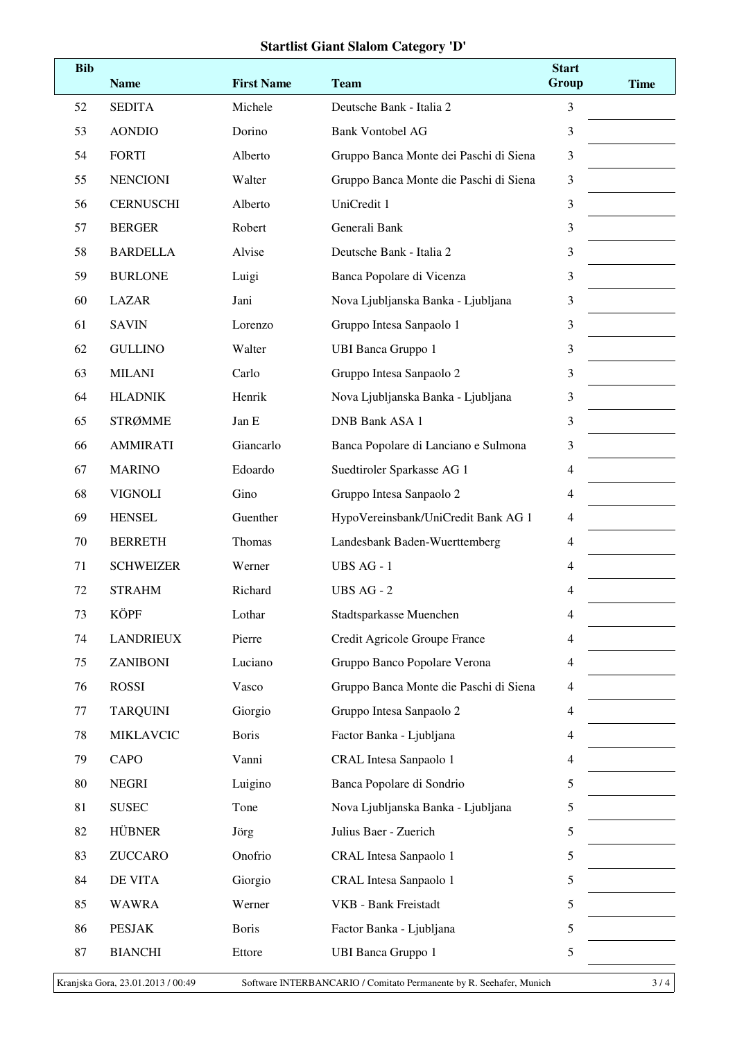## **Startlist Giant Slalom Category 'D'**

| <b>Bib</b> | <b>Name</b>      | <b>First Name</b> | <b>Team</b>                            | <b>Start</b><br>Group | <b>Time</b> |
|------------|------------------|-------------------|----------------------------------------|-----------------------|-------------|
| 52         | <b>SEDITA</b>    | Michele           | Deutsche Bank - Italia 2               | 3                     |             |
| 53         | <b>AONDIO</b>    | Dorino            | <b>Bank Vontobel AG</b>                | 3                     |             |
| 54         | <b>FORTI</b>     | Alberto           | Gruppo Banca Monte dei Paschi di Siena | 3                     |             |
| 55         | <b>NENCIONI</b>  | Walter            | Gruppo Banca Monte die Paschi di Siena | 3                     |             |
| 56         | <b>CERNUSCHI</b> | Alberto           | UniCredit 1                            | 3                     |             |
| 57         | <b>BERGER</b>    | Robert            | Generali Bank                          | 3                     |             |
| 58         | <b>BARDELLA</b>  | Alvise            | Deutsche Bank - Italia 2               | 3                     |             |
| 59         | <b>BURLONE</b>   | Luigi             | Banca Popolare di Vicenza              | 3                     |             |
| 60         | <b>LAZAR</b>     | Jani              | Nova Ljubljanska Banka - Ljubljana     | 3                     |             |
| 61         | <b>SAVIN</b>     | Lorenzo           | Gruppo Intesa Sanpaolo 1               | 3                     |             |
| 62         | <b>GULLINO</b>   | Walter            | <b>UBI Banca Gruppo 1</b>              | 3                     |             |
| 63         | <b>MILANI</b>    | Carlo             | Gruppo Intesa Sanpaolo 2               | 3                     |             |
| 64         | <b>HLADNIK</b>   | Henrik            | Nova Ljubljanska Banka - Ljubljana     | 3                     |             |
| 65         | <b>STRØMME</b>   | Jan E             | <b>DNB Bank ASA 1</b>                  | 3                     |             |
| 66         | <b>AMMIRATI</b>  | Giancarlo         | Banca Popolare di Lanciano e Sulmona   | 3                     |             |
| 67         | <b>MARINO</b>    | Edoardo           | Suedtiroler Sparkasse AG 1             | 4                     |             |
| 68         | <b>VIGNOLI</b>   | Gino              | Gruppo Intesa Sanpaolo 2               | 4                     |             |
| 69         | <b>HENSEL</b>    | Guenther          | HypoVereinsbank/UniCredit Bank AG 1    | 4                     |             |
| 70         | <b>BERRETH</b>   | Thomas            | Landesbank Baden-Wuerttemberg          | $\overline{4}$        |             |
| 71         | <b>SCHWEIZER</b> | Werner            | UBS AG - 1                             | 4                     |             |
| 72         | <b>STRAHM</b>    | Richard           | UBS AG - 2                             | 4                     |             |
| 73         | KÖPF             | Lothar            | Stadtsparkasse Muenchen                | 4                     |             |
| 74         | <b>LANDRIEUX</b> | Pierre            | Credit Agricole Groupe France          | 4                     |             |
| 75         | <b>ZANIBONI</b>  | Luciano           | Gruppo Banco Popolare Verona           | $\overline{4}$        |             |
| 76         | <b>ROSSI</b>     | Vasco             | Gruppo Banca Monte die Paschi di Siena | 4                     |             |
| 77         | <b>TARQUINI</b>  | Giorgio           | Gruppo Intesa Sanpaolo 2               | 4                     |             |
| 78         | <b>MIKLAVCIC</b> | <b>Boris</b>      | Factor Banka - Ljubljana               | 4                     |             |
| 79         | CAPO             | Vanni             | <b>CRAL</b> Intesa Sanpaolo 1          | 4                     |             |
| 80         | <b>NEGRI</b>     | Luigino           | Banca Popolare di Sondrio              | 5                     |             |
| 81         | <b>SUSEC</b>     | Tone              | Nova Ljubljanska Banka - Ljubljana     | 5                     |             |
| 82         | <b>HÜBNER</b>    | Jörg              | Julius Baer - Zuerich                  | 5                     |             |
| 83         | <b>ZUCCARO</b>   | Onofrio           | CRAL Intesa Sanpaolo 1                 | 5                     |             |
| 84         | DE VITA          | Giorgio           | CRAL Intesa Sanpaolo 1                 | 5                     |             |
| 85         | <b>WAWRA</b>     | Werner            | VKB - Bank Freistadt                   | 5                     |             |
| 86         | <b>PESJAK</b>    | <b>Boris</b>      | Factor Banka - Ljubljana               | 5                     |             |
| 87         | <b>BIANCHI</b>   | Ettore            | <b>UBI Banca Gruppo 1</b>              | 5                     |             |